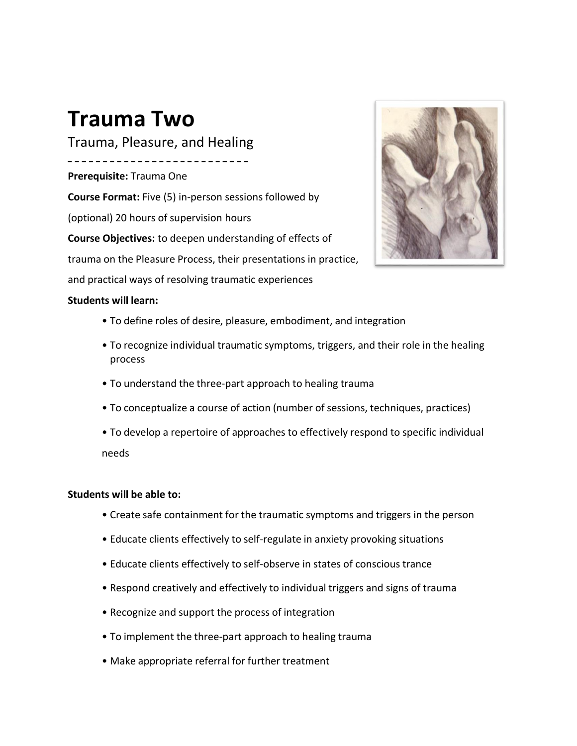## **Trauma Two**

Trauma, Pleasure, and Healing

**Prerequisite:** Trauma One **Course Format:** Five (5) in-person sessions followed by (optional) 20 hours of supervision hours **Course Objectives:** to deepen understanding of effects of trauma on the Pleasure Process, their presentations in practice, and practical ways of resolving traumatic experiences



## **Students will learn:**

- To define roles of desire, pleasure, embodiment, and integration
- To recognize individual traumatic symptoms, triggers, and their role in the healing process
- To understand the three-part approach to healing trauma
- To conceptualize a course of action (number of sessions, techniques, practices)
- To develop a repertoire of approaches to effectively respond to specific individual needs

## **Students will be able to:**

- Create safe containment for the traumatic symptoms and triggers in the person
- Educate clients effectively to self-regulate in anxiety provoking situations
- Educate clients effectively to self-observe in states of conscious trance
- Respond creatively and effectively to individual triggers and signs of trauma
- Recognize and support the process of integration
- To implement the three-part approach to healing trauma
- Make appropriate referral for further treatment